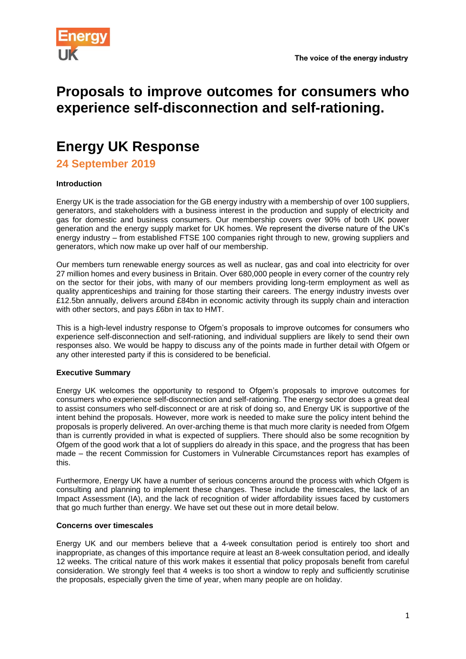

# **Proposals to improve outcomes for consumers who experience self-disconnection and self-rationing.**

# **Energy UK Response**

**24 September 2019**

# **Introduction**

Energy UK is the trade association for the GB energy industry with a membership of over 100 suppliers, generators, and stakeholders with a business interest in the production and supply of electricity and gas for domestic and business consumers. Our membership covers over 90% of both UK power generation and the energy supply market for UK homes. We represent the diverse nature of the UK's energy industry – from established FTSE 100 companies right through to new, growing suppliers and generators, which now make up over half of our membership.

Our members turn renewable energy sources as well as nuclear, gas and coal into electricity for over 27 million homes and every business in Britain. Over 680,000 people in every corner of the country rely on the sector for their jobs, with many of our members providing long-term employment as well as quality apprenticeships and training for those starting their careers. The energy industry invests over £12.5bn annually, delivers around £84bn in economic activity through its supply chain and interaction with other sectors, and pays £6bn in tax to HMT.

This is a high-level industry response to Ofgem's proposals to improve outcomes for consumers who experience self-disconnection and self-rationing, and individual suppliers are likely to send their own responses also. We would be happy to discuss any of the points made in further detail with Ofgem or any other interested party if this is considered to be beneficial.

## **Executive Summary**

Energy UK welcomes the opportunity to respond to Ofgem's proposals to improve outcomes for consumers who experience self-disconnection and self-rationing. The energy sector does a great deal to assist consumers who self-disconnect or are at risk of doing so, and Energy UK is supportive of the intent behind the proposals. However, more work is needed to make sure the policy intent behind the proposals is properly delivered. An over-arching theme is that much more clarity is needed from Ofgem than is currently provided in what is expected of suppliers. There should also be some recognition by Ofgem of the good work that a lot of suppliers do already in this space, and the progress that has been made – the recent Commission for Customers in Vulnerable Circumstances report has examples of this.

Furthermore, Energy UK have a number of serious concerns around the process with which Ofgem is consulting and planning to implement these changes. These include the timescales, the lack of an Impact Assessment (IA), and the lack of recognition of wider affordability issues faced by customers that go much further than energy. We have set out these out in more detail below.

## **Concerns over timescales**

Energy UK and our members believe that a 4-week consultation period is entirely too short and inappropriate, as changes of this importance require at least an 8-week consultation period, and ideally 12 weeks. The critical nature of this work makes it essential that policy proposals benefit from careful consideration. We strongly feel that 4 weeks is too short a window to reply and sufficiently scrutinise the proposals, especially given the time of year, when many people are on holiday.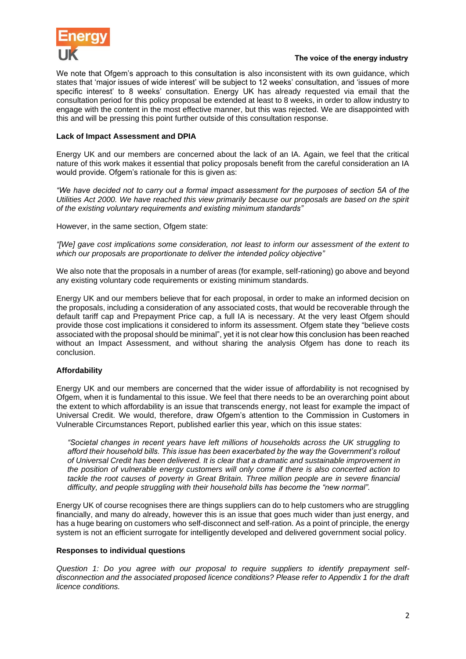

#### The voice of the energy industry

We note that Ofgem's approach to this consultation is also inconsistent with its own guidance, which states that 'major issues of wide interest' will be subject to 12 weeks' consultation, and 'issues of more specific interest' to 8 weeks' consultation. Energy UK has already requested via email that the consultation period for this policy proposal be extended at least to 8 weeks, in order to allow industry to engage with the content in the most effective manner, but this was rejected. We are disappointed with this and will be pressing this point further outside of this consultation response.

#### **Lack of Impact Assessment and DPIA**

Energy UK and our members are concerned about the lack of an IA. Again, we feel that the critical nature of this work makes it essential that policy proposals benefit from the careful consideration an IA would provide. Ofgem's rationale for this is given as:

*"We have decided not to carry out a formal impact assessment for the purposes of section 5A of the Utilities Act 2000. We have reached this view primarily because our proposals are based on the spirit of the existing voluntary requirements and existing minimum standards"*

However, in the same section, Ofgem state:

*"[We] gave cost implications some consideration, not least to inform our assessment of the extent to which our proposals are proportionate to deliver the intended policy objective"*

We also note that the proposals in a number of areas (for example, self-rationing) go above and beyond any existing voluntary code requirements or existing minimum standards.

Energy UK and our members believe that for each proposal, in order to make an informed decision on the proposals, including a consideration of any associated costs, that would be recoverable through the default tariff cap and Prepayment Price cap, a full IA is necessary. At the very least Ofgem should provide those cost implications it considered to inform its assessment. Ofgem state they "believe costs associated with the proposal should be minimal", yet it is not clear how this conclusion has been reached without an Impact Assessment, and without sharing the analysis Ofgem has done to reach its conclusion.

## **Affordability**

Energy UK and our members are concerned that the wider issue of affordability is not recognised by Ofgem, when it is fundamental to this issue. We feel that there needs to be an overarching point about the extent to which affordability is an issue that transcends energy, not least for example the impact of Universal Credit. We would, therefore, draw Ofgem's attention to the Commission in Customers in Vulnerable Circumstances Report, published earlier this year, which on this issue states:

*"Societal changes in recent years have left millions of households across the UK struggling to afford their household bills. This issue has been exacerbated by the way the Government's rollout of Universal Credit has been delivered. It is clear that a dramatic and sustainable improvement in the position of vulnerable energy customers will only come if there is also concerted action to*  tackle the root causes of poverty in Great Britain. Three million people are in severe financial *difficulty, and people struggling with their household bills has become the "new normal".*

Energy UK of course recognises there are things suppliers can do to help customers who are struggling financially, and many do already, however this is an issue that goes much wider than just energy, and has a huge bearing on customers who self-disconnect and self-ration. As a point of principle, the energy system is not an efficient surrogate for intelligently developed and delivered government social policy.

#### **Responses to individual questions**

*Question 1: Do you agree with our proposal to require suppliers to identify prepayment selfdisconnection and the associated proposed licence conditions? Please refer to Appendix 1 for the draft licence conditions.*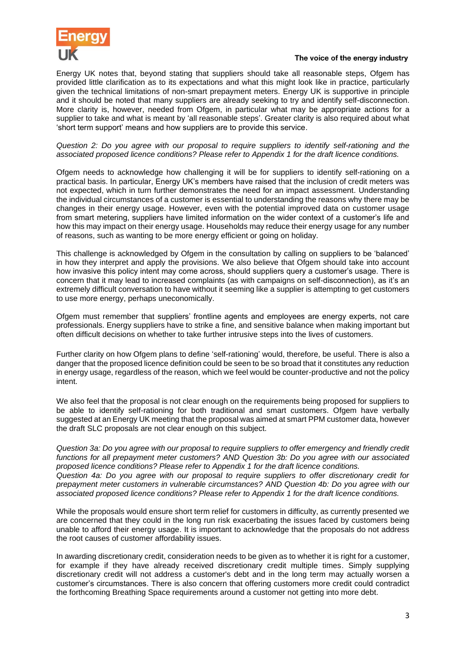

#### The voice of the energy industry

Energy UK notes that, beyond stating that suppliers should take all reasonable steps, Ofgem has provided little clarification as to its expectations and what this might look like in practice, particularly given the technical limitations of non-smart prepayment meters. Energy UK is supportive in principle and it should be noted that many suppliers are already seeking to try and identify self-disconnection. More clarity is, however, needed from Ofgem, in particular what may be appropriate actions for a supplier to take and what is meant by 'all reasonable steps'. Greater clarity is also required about what 'short term support' means and how suppliers are to provide this service.

#### *Question 2: Do you agree with our proposal to require suppliers to identify self-rationing and the associated proposed licence conditions? Please refer to Appendix 1 for the draft licence conditions.*

Ofgem needs to acknowledge how challenging it will be for suppliers to identify self-rationing on a practical basis. In particular, Energy UK's members have raised that the inclusion of credit meters was not expected, which in turn further demonstrates the need for an impact assessment. Understanding the individual circumstances of a customer is essential to understanding the reasons why there may be changes in their energy usage. However, even with the potential improved data on customer usage from smart metering, suppliers have limited information on the wider context of a customer's life and how this may impact on their energy usage. Households may reduce their energy usage for any number of reasons, such as wanting to be more energy efficient or going on holiday.

This challenge is acknowledged by Ofgem in the consultation by calling on suppliers to be 'balanced' in how they interpret and apply the provisions. We also believe that Ofgem should take into account how invasive this policy intent may come across, should suppliers query a customer's usage. There is concern that it may lead to increased complaints (as with campaigns on self-disconnection), as it's an extremely difficult conversation to have without it seeming like a supplier is attempting to get customers to use more energy, perhaps uneconomically.

Ofgem must remember that suppliers' frontline agents and employees are energy experts, not care professionals. Energy suppliers have to strike a fine, and sensitive balance when making important but often difficult decisions on whether to take further intrusive steps into the lives of customers.

Further clarity on how Ofgem plans to define 'self-rationing' would, therefore, be useful. There is also a danger that the proposed licence definition could be seen to be so broad that it constitutes any reduction in energy usage, regardless of the reason, which we feel would be counter-productive and not the policy intent.

We also feel that the proposal is not clear enough on the requirements being proposed for suppliers to be able to identify self-rationing for both traditional and smart customers. Ofgem have verbally suggested at an Energy UK meeting that the proposal was aimed at smart PPM customer data, however the draft SLC proposals are not clear enough on this subject.

*Question 3a: Do you agree with our proposal to require suppliers to offer emergency and friendly credit functions for all prepayment meter customers? AND Question 3b: Do you agree with our associated proposed licence conditions? Please refer to Appendix 1 for the draft licence conditions. Question 4a: Do you agree with our proposal to require suppliers to offer discretionary credit for prepayment meter customers in vulnerable circumstances? AND Question 4b: Do you agree with our associated proposed licence conditions? Please refer to Appendix 1 for the draft licence conditions.*

While the proposals would ensure short term relief for customers in difficulty, as currently presented we are concerned that they could in the long run risk exacerbating the issues faced by customers being unable to afford their energy usage. It is important to acknowledge that the proposals do not address the root causes of customer affordability issues.

In awarding discretionary credit, consideration needs to be given as to whether it is right for a customer, for example if they have already received discretionary credit multiple times. Simply supplying discretionary credit will not address a customer's debt and in the long term may actually worsen a customer's circumstances. There is also concern that offering customers more credit could contradict the forthcoming Breathing Space requirements around a customer not getting into more debt.